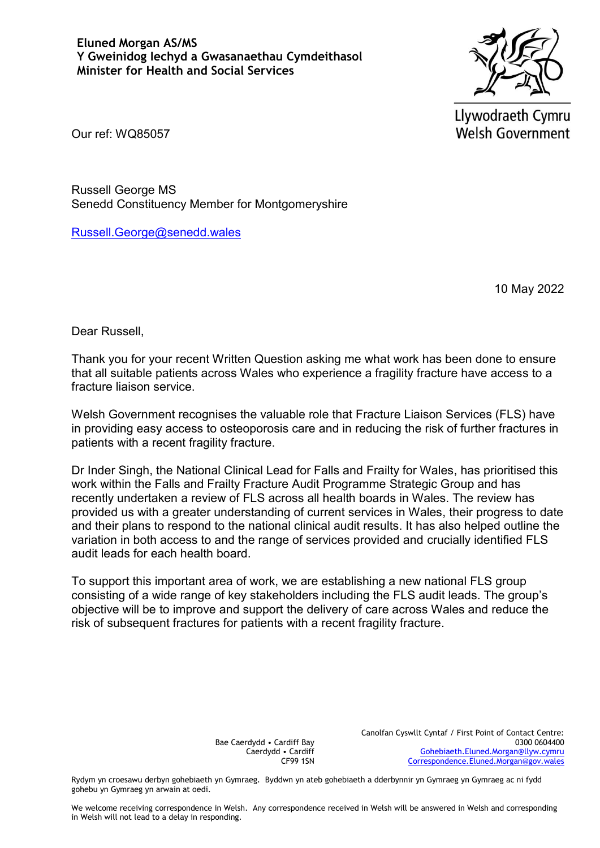

Llywodraeth Cymru **Welsh Government** 

Our ref: WQ85057

Russell George MS Senedd Constituency Member for Montgomeryshire

[Russell.George@senedd.wales](mailto:Russell.George@senedd.wales)

10 May 2022

Dear Russell,

Thank you for your recent Written Question asking me what work has been done to ensure that all suitable patients across Wales who experience a fragility fracture have access to a fracture liaison service.

Welsh Government recognises the valuable role that Fracture Liaison Services (FLS) have in providing easy access to osteoporosis care and in reducing the risk of further fractures in patients with a recent fragility fracture.

Dr Inder Singh, the National Clinical Lead for Falls and Frailty for Wales, has prioritised this work within the Falls and Frailty Fracture Audit Programme Strategic Group and has recently undertaken a review of FLS across all health boards in Wales. The review has provided us with a greater understanding of current services in Wales, their progress to date and their plans to respond to the national clinical audit results. It has also helped outline the variation in both access to and the range of services provided and crucially identified FLS audit leads for each health board.

To support this important area of work, we are establishing a new national FLS group consisting of a wide range of key stakeholders including the FLS audit leads. The group's objective will be to improve and support the delivery of care across Wales and reduce the risk of subsequent fractures for patients with a recent fragility fracture.

> Bae Caerdydd • Cardiff Bay Caerdydd • Cardiff CF99 1SN

Canolfan Cyswllt Cyntaf / First Point of Contact Centre: 0300 0604400 [Gohebiaeth.Eluned.Morgan@llyw.cymru](mailto:Gohebiaeth.Eluned.Morgan@llyw.cymru) [Correspondence.Eluned.Morgan@gov.wales](mailto:Correspondence.Eluned.Morgan@gov.wales)

Rydym yn croesawu derbyn gohebiaeth yn Gymraeg. Byddwn yn ateb gohebiaeth a dderbynnir yn Gymraeg yn Gymraeg ac ni fydd gohebu yn Gymraeg yn arwain at oedi.

We welcome receiving correspondence in Welsh. Any correspondence received in Welsh will be answered in Welsh and corresponding in Welsh will not lead to a delay in responding.